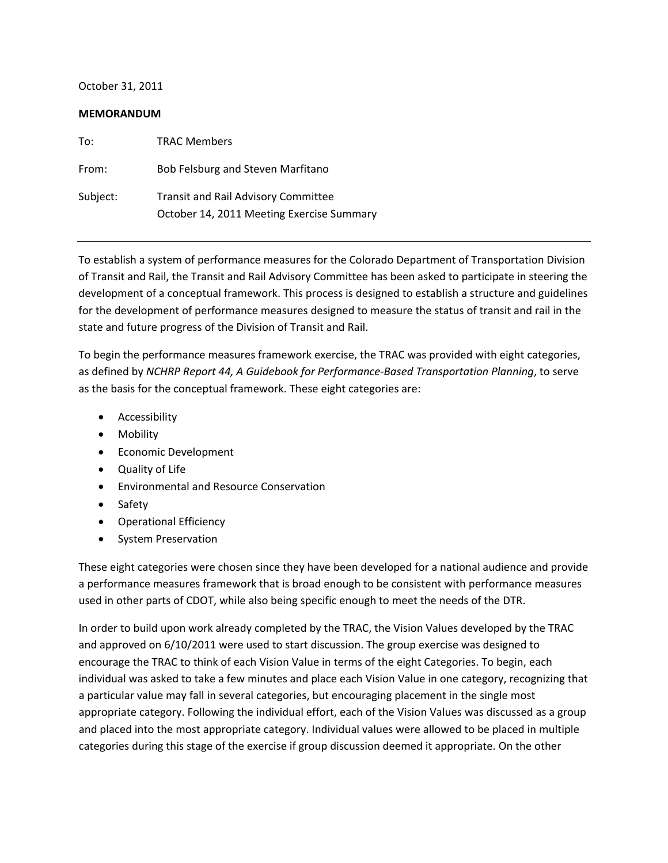October 31, 2011

#### **MEMORANDUM**

| To:      | <b>TRAC Members</b>                                                                     |
|----------|-----------------------------------------------------------------------------------------|
| From:    | Bob Felsburg and Steven Marfitano                                                       |
| Subject: | <b>Transit and Rail Advisory Committee</b><br>October 14, 2011 Meeting Exercise Summary |

To establish a system of performance measures for the Colorado Department of Transportation Division of Transit and Rail, the Transit and Rail Advisory Committee has been asked to participate in steering the development of a conceptual framework. This process is designed to establish a structure and guidelines for the development of performance measures designed to measure the status of transit and rail in the state and future progress of the Division of Transit and Rail.

To begin the performance measures framework exercise, the TRAC was provided with eight categories, as defined by *NCHRP Report 44, A Guidebook for Performance‐Based Transportation Planning*, to serve as the basis for the conceptual framework. These eight categories are:

- Accessibility
- Mobility
- Economic Development
- Quality of Life
- Environmental and Resource Conservation
- Safety
- Operational Efficiency
- System Preservation

These eight categories were chosen since they have been developed for a national audience and provide a performance measures framework that is broad enough to be consistent with performance measures used in other parts of CDOT, while also being specific enough to meet the needs of the DTR.

In order to build upon work already completed by the TRAC, the Vision Values developed by the TRAC and approved on 6/10/2011 were used to start discussion. The group exercise was designed to encourage the TRAC to think of each Vision Value in terms of the eight Categories. To begin, each individual was asked to take a few minutes and place each Vision Value in one category, recognizing that a particular value may fall in several categories, but encouraging placement in the single most appropriate category. Following the individual effort, each of the Vision Values was discussed as a group and placed into the most appropriate category. Individual values were allowed to be placed in multiple categories during this stage of the exercise if group discussion deemed it appropriate. On the other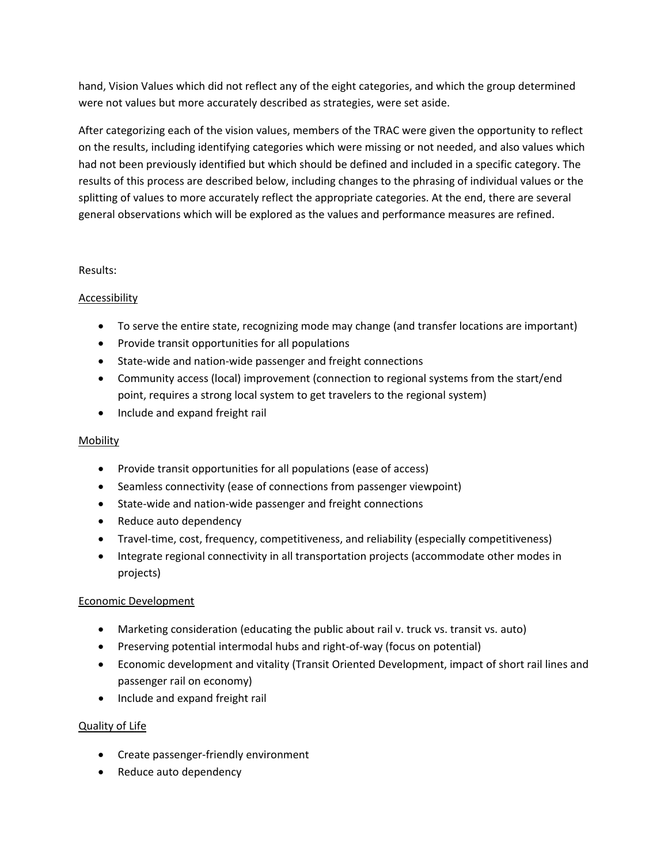hand, Vision Values which did not reflect any of the eight categories, and which the group determined were not values but more accurately described as strategies, were set aside.

After categorizing each of the vision values, members of the TRAC were given the opportunity to reflect on the results, including identifying categories which were missing or not needed, and also values which had not been previously identified but which should be defined and included in a specific category. The results of this process are described below, including changes to the phrasing of individual values or the splitting of values to more accurately reflect the appropriate categories. At the end, there are several general observations which will be explored as the values and performance measures are refined.

### Results:

# Accessibility

- To serve the entire state, recognizing mode may change (and transfer locations are important)
- Provide transit opportunities for all populations
- State‐wide and nation‐wide passenger and freight connections
- Community access (local) improvement (connection to regional systems from the start/end point, requires a strong local system to get travelers to the regional system)
- Include and expand freight rail

### **Mobility**

- Provide transit opportunities for all populations (ease of access)
- Seamless connectivity (ease of connections from passenger viewpoint)
- State‐wide and nation‐wide passenger and freight connections
- Reduce auto dependency
- Travel-time, cost, frequency, competitiveness, and reliability (especially competitiveness)
- Integrate regional connectivity in all transportation projects (accommodate other modes in projects)

### Economic Development

- Marketing consideration (educating the public about rail v. truck vs. transit vs. auto)
- Preserving potential intermodal hubs and right‐of‐way (focus on potential)
- Economic development and vitality (Transit Oriented Development, impact of short rail lines and passenger rail on economy)
- Include and expand freight rail

# Quality of Life

- Create passenger‐friendly environment
- Reduce auto dependency